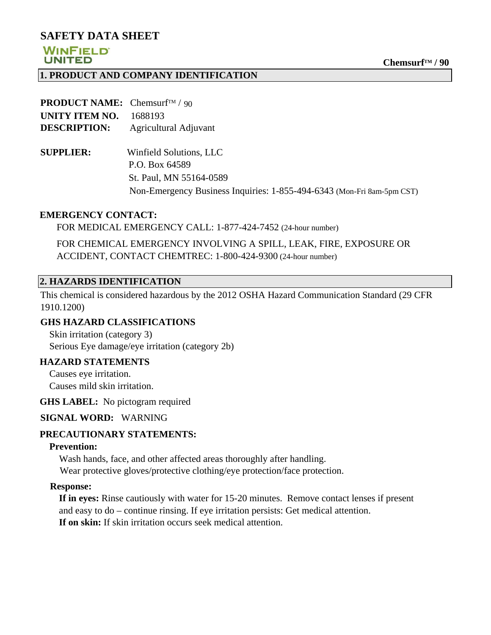## **SAFETY DATA SHEET**

## **WINFIELD UNITED**

### **1. PRODUCT AND COMPANY IDENTIFICATION**

| <b>PRODUCT NAME:</b> Chemsurf <sup>TM</sup> / 90 |                                                                        |
|--------------------------------------------------|------------------------------------------------------------------------|
| UNITY ITEM NO.                                   | 1688193                                                                |
| <b>DESCRIPTION:</b>                              | Agricultural Adjuvant                                                  |
| <b>SUPPLIER:</b>                                 | Winfield Solutions, LLC                                                |
|                                                  | P.O. Box 64589                                                         |
|                                                  | St. Paul, MN 55164-0589                                                |
|                                                  | Non-Emergency Business Inquiries: 1-855-494-6343 (Mon-Fri 8am-5pm CST) |

#### **EMERGENCY CONTACT:**

FOR MEDICAL EMERGENCY CALL: 1-877-424-7452 (24-hour number)

 FOR CHEMICAL EMERGENCY INVOLVING A SPILL, LEAK, FIRE, EXPOSURE OR ACCIDENT, CONTACT CHEMTREC: 1-800-424-9300 (24-hour number)

### **2. HAZARDS IDENTIFICATION**

This chemical is considered hazardous by the 2012 OSHA Hazard Communication Standard (29 CFR 1910.1200)

### **GHS HAZARD CLASSIFICATIONS**

 Skin irritation (category 3) Serious Eye damage/eye irritation (category 2b)

## **HAZARD STATEMENTS**

 Causes eye irritation. Causes mild skin irritation.

**GHS LABEL:** No pictogram required

## **SIGNAL WORD:** WARNING

## **PRECAUTIONARY STATEMENTS:**

### **Prevention:**

 Wash hands, face, and other affected areas thoroughly after handling. Wear protective gloves/protective clothing/eye protection/face protection.

### **Response:**

 **If in eyes:** Rinse cautiously with water for 15-20 minutes. Remove contact lenses if present and easy to do – continue rinsing. If eye irritation persists: Get medical attention.  **If on skin:** If skin irritation occurs seek medical attention.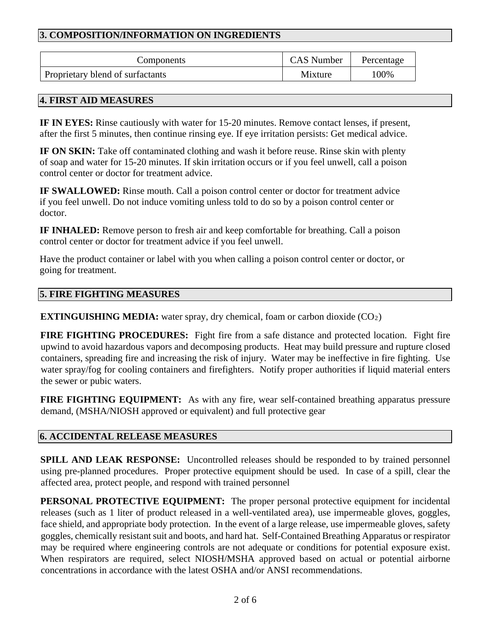# **3. COMPOSITION/INFORMATION ON INGREDIENTS**

| Components                       | <b>CAS</b> Number | Percentage |
|----------------------------------|-------------------|------------|
| Proprietary blend of surfactants | Mixture           | 00%        |

## **4. FIRST AID MEASURES**

**IF IN EYES:** Rinse cautiously with water for 15-20 minutes. Remove contact lenses, if present, after the first 5 minutes, then continue rinsing eye. If eye irritation persists: Get medical advice.

**IF ON SKIN:** Take off contaminated clothing and wash it before reuse. Rinse skin with plenty of soap and water for 15-20 minutes. If skin irritation occurs or if you feel unwell, call a poison control center or doctor for treatment advice.

**IF SWALLOWED:** Rinse mouth. Call a poison control center or doctor for treatment advice if you feel unwell. Do not induce vomiting unless told to do so by a poison control center or doctor.

**IF INHALED:** Remove person to fresh air and keep comfortable for breathing. Call a poison control center or doctor for treatment advice if you feel unwell.

Have the product container or label with you when calling a poison control center or doctor, or going for treatment.

### **5. FIRE FIGHTING MEASURES**

**EXTINGUISHING MEDIA:** water spray, dry chemical, foam or carbon dioxide (CO<sub>2</sub>)

**FIRE FIGHTING PROCEDURES:** Fight fire from a safe distance and protected location. Fight fire upwind to avoid hazardous vapors and decomposing products. Heat may build pressure and rupture closed containers, spreading fire and increasing the risk of injury. Water may be ineffective in fire fighting. Use water spray/fog for cooling containers and firefighters. Notify proper authorities if liquid material enters the sewer or pubic waters.

**FIRE FIGHTING EQUIPMENT:** As with any fire, wear self-contained breathing apparatus pressure demand, (MSHA/NIOSH approved or equivalent) and full protective gear

## **6. ACCIDENTAL RELEASE MEASURES**

**SPILL AND LEAK RESPONSE:** Uncontrolled releases should be responded to by trained personnel using pre-planned procedures. Proper protective equipment should be used. In case of a spill, clear the affected area, protect people, and respond with trained personnel

**PERSONAL PROTECTIVE EQUIPMENT:** The proper personal protective equipment for incidental releases (such as 1 liter of product released in a well-ventilated area), use impermeable gloves, goggles, face shield, and appropriate body protection. In the event of a large release, use impermeable gloves, safety goggles, chemically resistant suit and boots, and hard hat. Self-Contained Breathing Apparatus or respirator may be required where engineering controls are not adequate or conditions for potential exposure exist. When respirators are required, select NIOSH/MSHA approved based on actual or potential airborne concentrations in accordance with the latest OSHA and/or ANSI recommendations.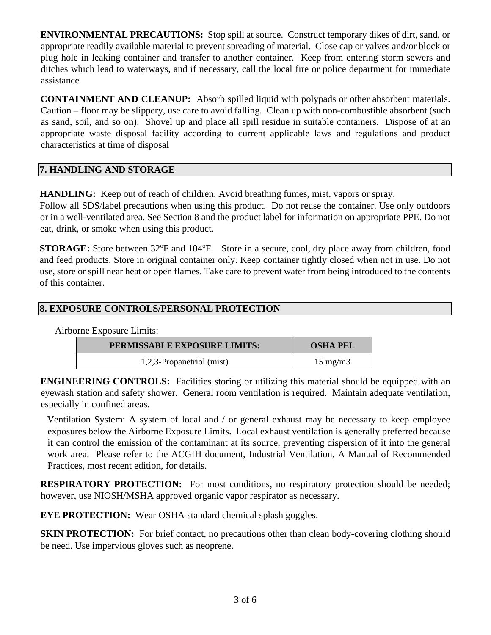**ENVIRONMENTAL PRECAUTIONS:** Stop spill at source. Construct temporary dikes of dirt, sand, or appropriate readily available material to prevent spreading of material. Close cap or valves and/or block or plug hole in leaking container and transfer to another container. Keep from entering storm sewers and ditches which lead to waterways, and if necessary, call the local fire or police department for immediate assistance

**CONTAINMENT AND CLEANUP:** Absorb spilled liquid with polypads or other absorbent materials. Caution – floor may be slippery, use care to avoid falling. Clean up with non-combustible absorbent (such as sand, soil, and so on). Shovel up and place all spill residue in suitable containers. Dispose of at an appropriate waste disposal facility according to current applicable laws and regulations and product characteristics at time of disposal

# **7. HANDLING AND STORAGE**

**HANDLING:** Keep out of reach of children. Avoid breathing fumes, mist, vapors or spray.

Follow all SDS/label precautions when using this product. Do not reuse the container. Use only outdoors or in a well-ventilated area. See Section 8 and the product label for information on appropriate PPE. Do not eat, drink, or smoke when using this product.

**STORAGE:** Store between 32°F and 104°F. Store in a secure, cool, dry place away from children, food and feed products. Store in original container only. Keep container tightly closed when not in use. Do not use, store or spill near heat or open flames. Take care to prevent water from being introduced to the contents of this container.

# **8. EXPOSURE CONTROLS/PERSONAL PROTECTION**

Airborne Exposure Limits:

| <b>PERMISSABLE EXPOSURE LIMITS:</b> | <b>OSHA PEL</b>   |
|-------------------------------------|-------------------|
| 1,2,3-Propanetriol (mist)           | $15 \text{ mg/m}$ |

**ENGINEERING CONTROLS:** Facilities storing or utilizing this material should be equipped with an eyewash station and safety shower. General room ventilation is required. Maintain adequate ventilation, especially in confined areas.

Ventilation System: A system of local and / or general exhaust may be necessary to keep employee exposures below the Airborne Exposure Limits. Local exhaust ventilation is generally preferred because it can control the emission of the contaminant at its source, preventing dispersion of it into the general work area. Please refer to the ACGIH document, Industrial Ventilation, A Manual of Recommended Practices, most recent edition, for details.

**RESPIRATORY PROTECTION:** For most conditions, no respiratory protection should be needed; however, use NIOSH/MSHA approved organic vapor respirator as necessary.

**EYE PROTECTION:** Wear OSHA standard chemical splash goggles.

**SKIN PROTECTION:** For brief contact, no precautions other than clean body-covering clothing should be need. Use impervious gloves such as neoprene.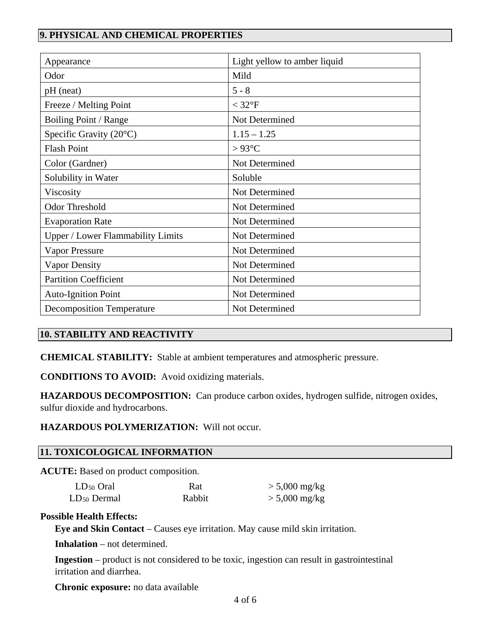# **9. PHYSICAL AND CHEMICAL PROPERTIES**

| Appearance                               | Light yellow to amber liquid |  |
|------------------------------------------|------------------------------|--|
| Odor                                     | Mild                         |  |
| pH (neat)                                | $5 - 8$                      |  |
| Freeze / Melting Point                   | $<$ 32 $\mathrm{^{\circ}F}$  |  |
| Boiling Point / Range                    | Not Determined               |  |
| Specific Gravity $(20^{\circ}C)$         | $1.15 - 1.25$                |  |
| <b>Flash Point</b>                       | $>93^{\circ}$ C              |  |
| Color (Gardner)                          | Not Determined               |  |
| Solubility in Water                      | Soluble                      |  |
| Viscosity                                | Not Determined               |  |
| <b>Odor Threshold</b>                    | Not Determined               |  |
| <b>Evaporation Rate</b>                  | Not Determined               |  |
| <b>Upper / Lower Flammability Limits</b> | Not Determined               |  |
| <b>Vapor Pressure</b>                    | Not Determined               |  |
| <b>Vapor Density</b>                     | Not Determined               |  |
| <b>Partition Coefficient</b>             | Not Determined               |  |
| <b>Auto-Ignition Point</b>               | Not Determined               |  |
| <b>Decomposition Temperature</b>         | Not Determined               |  |

## **10. STABILITY AND REACTIVITY**

**CHEMICAL STABILITY:** Stable at ambient temperatures and atmospheric pressure.

**CONDITIONS TO AVOID:** Avoid oxidizing materials.

**HAZARDOUS DECOMPOSITION:** Can produce carbon oxides, hydrogen sulfide, nitrogen oxides, sulfur dioxide and hydrocarbons.

**HAZARDOUS POLYMERIZATION:** Will not occur.

### **11. TOXICOLOGICAL INFORMATION**

**ACUTE:** Based on product composition.

| $LD_{50}$ Oral   | Rat    | $> 5,000$ mg/kg         |
|------------------|--------|-------------------------|
| $LD_{50}$ Dermal | Rabbit | $> 5,000 \text{ mg/kg}$ |

#### **Possible Health Effects:**

**Eye and Skin Contact** – Causes eye irritation. May cause mild skin irritation.

**Inhalation** – not determined.

**Ingestion** – product is not considered to be toxic, ingestion can result in gastrointestinal irritation and diarrhea.

**Chronic exposure:** no data available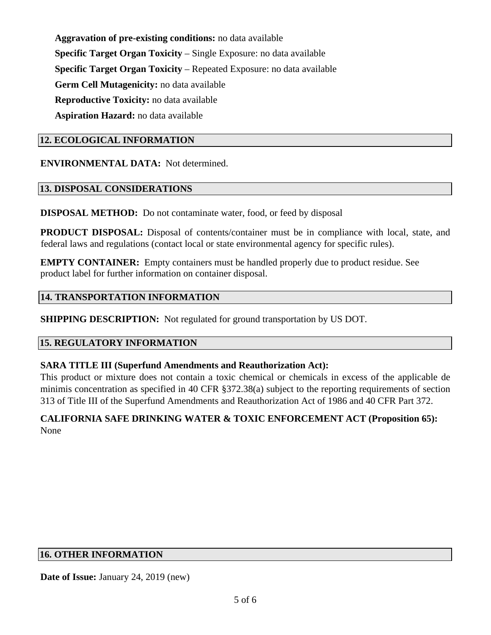**Aggravation of pre-existing conditions:** no data available **Specific Target Organ Toxicity** – Single Exposure: no data available **Specific Target Organ Toxicity** – Repeated Exposure: no data available **Germ Cell Mutagenicity:** no data available **Reproductive Toxicity:** no data available **Aspiration Hazard:** no data available

### **12. ECOLOGICAL INFORMATION**

**ENVIRONMENTAL DATA:** Not determined.

### **13. DISPOSAL CONSIDERATIONS**

**DISPOSAL METHOD:** Do not contaminate water, food, or feed by disposal

**PRODUCT DISPOSAL:** Disposal of contents/container must be in compliance with local, state, and federal laws and regulations (contact local or state environmental agency for specific rules).

**EMPTY CONTAINER:** Empty containers must be handled properly due to product residue. See product label for further information on container disposal.

### **14. TRANSPORTATION INFORMATION**

**SHIPPING DESCRIPTION:** Not regulated for ground transportation by US DOT.

### **15. REGULATORY INFORMATION**

### **SARA TITLE III (Superfund Amendments and Reauthorization Act):**

This product or mixture does not contain a toxic chemical or chemicals in excess of the applicable de minimis concentration as specified in 40 CFR §372.38(a) subject to the reporting requirements of section 313 of Title III of the Superfund Amendments and Reauthorization Act of 1986 and 40 CFR Part 372.

## **CALIFORNIA SAFE DRINKING WATER & TOXIC ENFORCEMENT ACT (Proposition 65):** None

### **16. OTHER INFORMATION**

**Date of Issue:** January 24, 2019 (new)